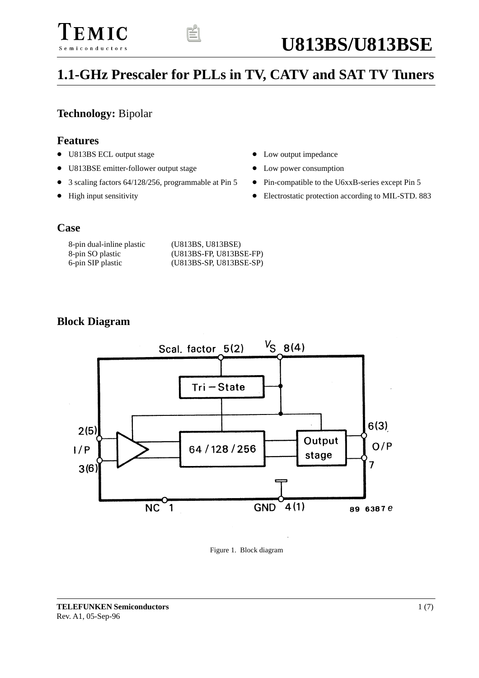# EMIC Semiconductors



# **1.1-GHz Prescaler for PLLs in TV, CATV and SAT TV Tuners**

### **Technology:** Bipolar

#### **Features**

- U813BS ECL output stage
- U813BSE emitter-follower output stage
- 3 scaling factors 64/128/256, programmable at Pin 5
- High input sensitivity
- $\bullet$ Low output impedance
- $\bullet$ Low power consumption
- $\bullet$ Pin-compatible to the U6xxB-series except Pin 5
- $\bullet$ Electrostatic protection according to MIL-STD. 883

#### **Case**

| 8-pin dual-inline plastic | (U813BS, U813BSE)       |
|---------------------------|-------------------------|
| 8-pin SO plastic          | (U813BS-FP, U813BSE-FP) |
| 6-pin SIP plastic         | (U813BS-SP, U813BSE-SP) |

#### **Block Diagram**



Figure 1. Block diagram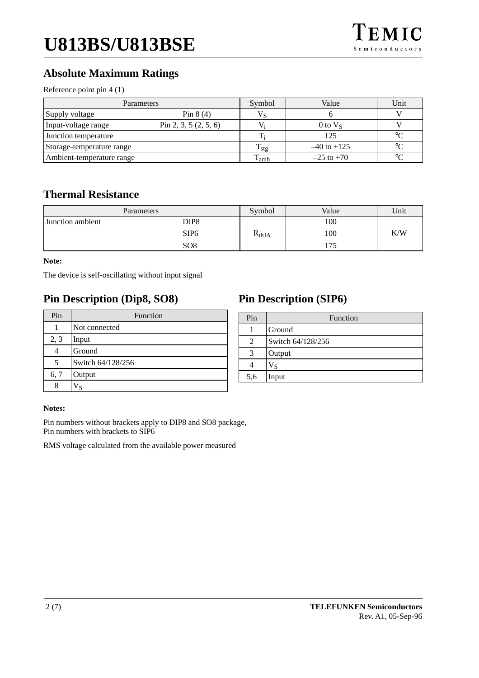# **Absolute Maximum Ratings**

Reference point pin 4 (1)

|                           | Parameters              | Symbol       | Value           | Unit        |
|---------------------------|-------------------------|--------------|-----------------|-------------|
| Supply voltage            | Pin $8(4)$              |              |                 |             |
| Input-voltage range       | Pin 2, 3, 5 $(2, 5, 6)$ |              | $0$ to $V_s$    |             |
| Junction temperature      |                         |              | 125             | $\circ$     |
| Storage-temperature range |                         | 1 ste        | $-40$ to $+125$ | $\circ$ C   |
| Ambient-temperature range |                         | <b>L</b> amb | $-25$ to $+70$  | $^{\circ}C$ |

#### **Thermal Resistance**

| Parameters       |                  | Symbol     | Value | Unit |
|------------------|------------------|------------|-------|------|
| Junction ambient | DIP8             |            | 100   |      |
|                  | SIP <sub>6</sub> | $R_{thJA}$ | 100   | K/W  |
|                  | SO <sub>8</sub>  |            | 175   |      |

#### **Note:**

The device is self-oscillating without input signal

## **Pin Description (Dip8, SO8)**

| Pin  | Function          |  |
|------|-------------------|--|
|      | Not connected     |  |
| 2, 3 | Input             |  |
|      | Ground            |  |
| 5    | Switch 64/128/256 |  |
| 6, 7 | Output            |  |
| 8    | ٧s                |  |

## **Pin Description (SIP6)**

| Pin | Function          |
|-----|-------------------|
|     | Ground            |
| 2   | Switch 64/128/256 |
| 3   | Output            |
|     | Vs                |
| 5,6 | Input             |
|     |                   |

#### **Notes:**

Pin numbers without brackets apply to DIP8 and SO8 package, Pin numbers with brackets to SIP6

RMS voltage calculated from the available power measured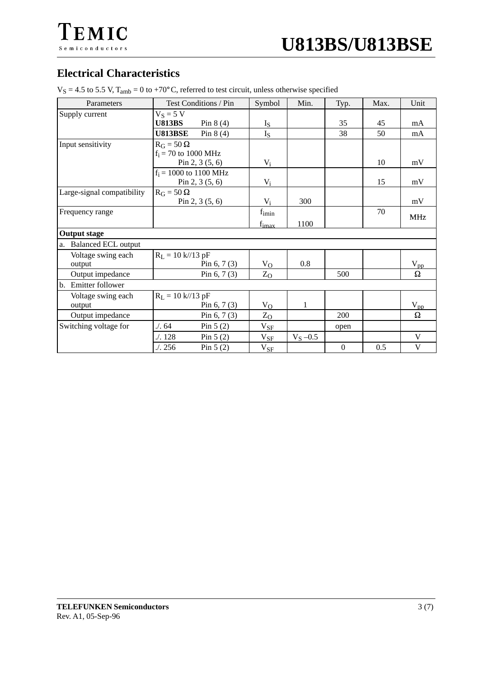

| <b>Electrical Characteristics</b> |                                                                                                    |
|-----------------------------------|----------------------------------------------------------------------------------------------------|
|                                   | $V_S = 4.5$ to 5.5 V, $T_{amb} = 0$ to +70°C, referred to test circuit, unless otherwise specified |

| Parameters                       | Test Conditions / Pin                | Symbol            | Min.        | Typ.             | Max. | Unit       |
|----------------------------------|--------------------------------------|-------------------|-------------|------------------|------|------------|
| Supply current                   | $V_S = 5 V$                          |                   |             |                  |      |            |
|                                  | <b>U813BS</b><br>Pin $8(4)$          | $I_{S}$           |             | 35               | 45   | mA         |
|                                  | <b>U813BSE</b><br>Pin $8(4)$         | $I_{S}$           |             | 38               | 50   | mA         |
| Input sensitivity                | $R_G = 50 \Omega$                    |                   |             |                  |      |            |
|                                  | $f_i = 70$ to 1000 MHz               |                   |             |                  |      |            |
|                                  | Pin 2, 3 $(5, 6)$                    | $V_i$             |             |                  | 10   | mV         |
|                                  | $f_i = 1000$ to 1100 MHz             |                   |             |                  |      |            |
|                                  | Pin 2, 3 $(5, 6)$                    | $V_i$             |             |                  | 15   | mV         |
| Large-signal compatibility       | $R_G = 50 \Omega$                    |                   |             |                  |      |            |
|                                  | Pin 2, 3 $(5, 6)$                    | $V_i$             | 300         |                  |      | mV         |
| Frequency range                  |                                      | $f_{\text{imin}}$ |             |                  | 70   | <b>MHz</b> |
|                                  |                                      | $f_{\text{imax}}$ | 1100        |                  |      |            |
| <b>Output stage</b>              |                                      |                   |             |                  |      |            |
| <b>Balanced ECL output</b><br>a. |                                      |                   |             |                  |      |            |
| Voltage swing each               | $R_L = 10 \text{ k} / 13 \text{ pF}$ |                   |             |                  |      |            |
| output                           | Pin $6, 7(3)$                        | $V_{O}$           | 0.8         |                  |      | $V_{pp}$   |
| Output impedance                 | Pin $6, 7(3)$                        | $Z_{O}$           |             | 500              |      | Ω          |
| b.<br>Emitter follower           |                                      |                   |             |                  |      |            |
| Voltage swing each               | $R_L = 10 \text{ k} / 13 \text{ pF}$ |                   |             |                  |      |            |
| output                           | Pin $6, 7(3)$                        | $V_{O}$           | 1           |                  |      | $V_{pp}$   |
| Output impedance                 | Pin $6, 7(3)$                        | $Z_{O}$           |             | 200              |      | $\Omega$   |
| Switching voltage for            | $\frac{1}{64}$<br>Pin $5(2)$         | $V_{SF}$          |             | open             |      |            |
|                                  | .128<br>Pin $5(2)$                   | $V_{SF}$          | $V_S - 0.5$ |                  |      | V          |
|                                  | .7.256<br>Pin $5(2)$                 | $V_{SF}$          |             | $\boldsymbol{0}$ | 0.5  | V          |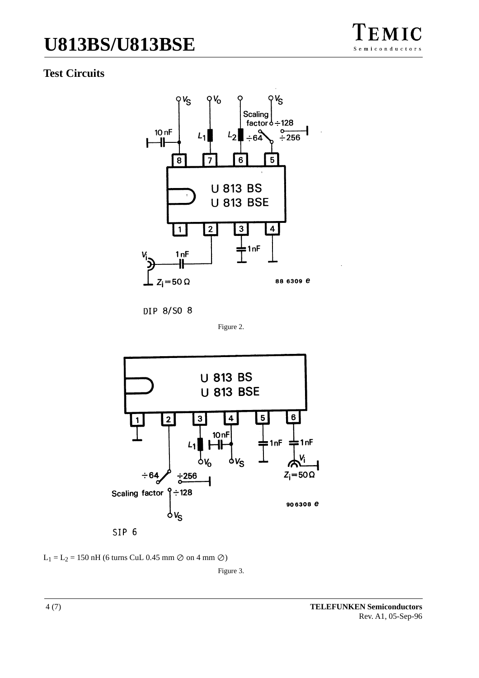# **U813BS/U813BSE**

## **Test Circuits**



DIP 8/S0 8







Figure 3.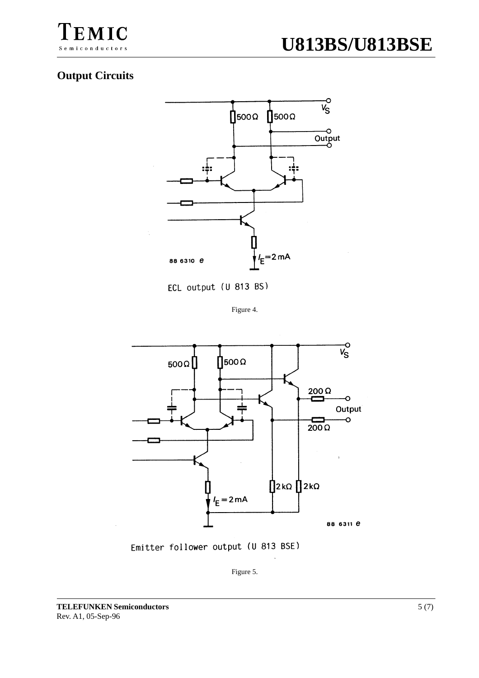

#### **Output Circuits**



ECL output (U 813 BS)

Figure 4.



Emitter follower output (U 813 BSE)

Figure 5.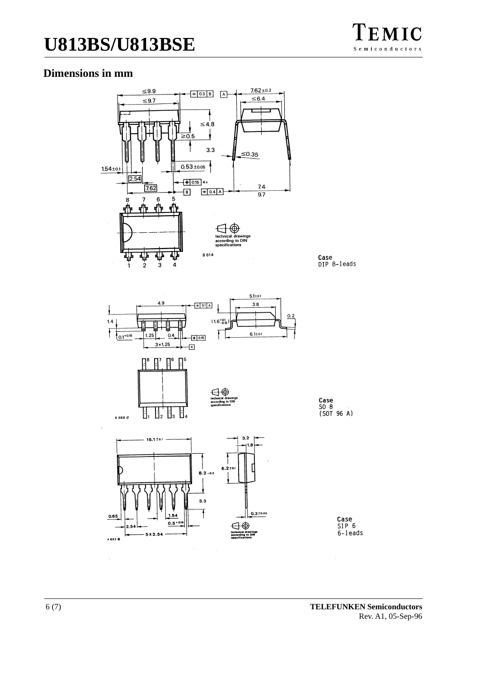# **U813BS/U813BSE**

#### **Dimensions in mm**